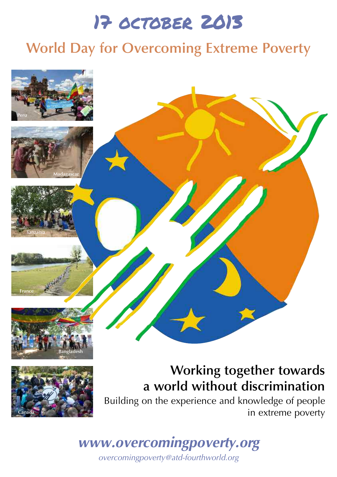# 17 october 2013

## **World Day for Overcoming Extreme Poverty**

### **Working together towards a world without discrimination** Building on the experience and knowledge of people in extreme poverty

*www.overcomingpoverty.org overcomingpoverty@atd-fourthworld.org*